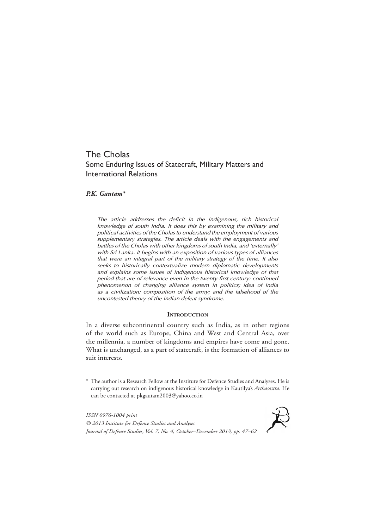# The Cholas Some Enduring Issues of Statecraft, Military Matters and International Relations

# *P.K. Gautam\**

*The article addresses the deficit in the indigenous, rich historical knowledge of south India. It does this by examining the military and political activities of the Cholas to understand the employment of various supplementary strategies. The article deals with the engagements and battles of the Cholas with other kingdoms of south India, and 'externally' with Sri Lanka. It begins with an exposition of various types of alliances that were an integral part of the military strategy of the time. It also seeks to historically contextualize modern diplomatic developments and explains some issues of indigenous historical knowledge of that period that are of relevance even in the twenty-first century: continued phenomenon of changing alliance system in politics; idea of India as a civilization; composition of the army; and the falsehood of the uncontested theory of the Indian defeat syndrome.* 

#### **INTRODUCTION**

In a diverse subcontinental country such as India, as in other regions of the world such as Europe, China and West and Central Asia, over the millennia, a number of kingdoms and empires have come and gone. What is unchanged, as a part of statecraft, is the formation of alliances to suit interests.

*ISSN 0976-1004 print © 2013 Institute for Defence Studies and Analyses Journal of Defence Studies, Vol. 7, No. 4, October–December 2013, pp. 47–62*



<sup>\*</sup> The author is a Research Fellow at the Institute for Defence Studies and Analyses. He is carrying out research on indigenous historical knowledge in Kautilya's *Arthasastra*. He can be contacted at pkgautam2003@yahoo.co.in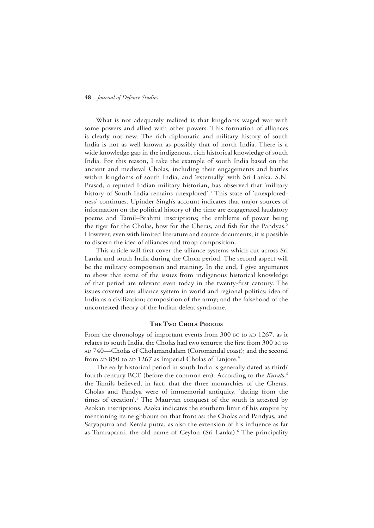What is not adequately realized is that kingdoms waged war with some powers and allied with other powers. This formation of alliances is clearly not new. The rich diplomatic and military history of south India is not as well known as possibly that of north India. There is a wide knowledge gap in the indigenous, rich historical knowledge of south India. For this reason, I take the example of south India based on the ancient and medieval Cholas, including their engagements and battles within kingdoms of south India, and 'externally' with Sri Lanka. S.N. Prasad, a reputed Indian military historian, has observed that 'military history of South India remains unexplored'.<sup>1</sup> This state of 'unexploredness' continues. Upinder Singh's account indicates that major sources of information on the political history of the time are exaggerated laudatory poems and Tamil–Brahmi inscriptions; the emblems of power being the tiger for the Cholas, bow for the Cheras, and fish for the Pandyas.<sup>2</sup> However, even with limited literature and source documents, it is possible to discern the idea of alliances and troop composition.

This article will first cover the alliance systems which cut across Sri Lanka and south India during the Chola period. The second aspect will be the military composition and training. In the end, I give arguments to show that some of the issues from indigenous historical knowledge of that period are relevant even today in the twenty-first century. The issues covered are: alliance system in world and regional politics; idea of India as a civilization; composition of the army; and the falsehood of the uncontested theory of the Indian defeat syndrome.

#### **The Two Chola Periods**

From the chronology of important events from 300 BC to AD 1267, as it relates to south India, the Cholas had two tenures: the first from 300 bc to AD 740—Cholas of Cholamandalam (Coromandal coast); and the second from AD 850 to AD 1267 as Imperial Cholas of Tanjore.<sup>3</sup>

The early historical period in south India is generally dated as third/ fourth century BCE (before the common era). According to the *Kurals*,<sup>4</sup> the Tamils believed, in fact, that the three monarchies of the Cheras, Cholas and Pandya were of immemorial antiquity, 'dating from the times of creation'.<sup>5</sup> The Mauryan conquest of the south is attested by Asokan inscriptions. Asoka indicates the southern limit of his empire by mentioning its neighbours on that front as: the Cholas and Pandyas, and Satyaputra and Kerala putra, as also the extension of his influence as far as Tamraparni, the old name of Ceylon (Sri Lanka).<sup>6</sup> The principality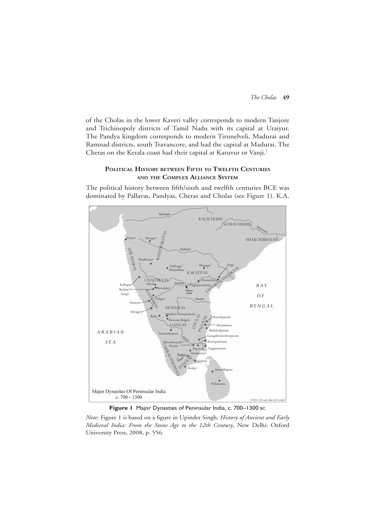of the Cholas in the lower Kaveri valley corresponds to modern Tanjore and Trichinopoly districts of Tamil Nadu with its capital at Uraiyur. The Pandya kingdom corresponds to modern Tirunelveli, Madurai and Ramnad districts, south Travancore, and had the capital at Madurai. The Cheras on the Kerala coast had their capital at Karuvur or Vanji.7

# **Political History between Fifth to Twelfth Centuries and the Complex Alliance System**

The political history between fifth/sixth and twelfth centuries BCE was dominated by Pallavas, Pandyas, Cheras and Cholas (see Figure 1). K.A.



**Figure 1** Major Dynasties of Peninsular India, c. 700–1300 bc

*Note:* Figure 1 is based on a figure in Upinder Singh, *History of Ancient and Early Medieval India: From the Stone Age to the 12th Century*, New Delhi: Oxford University Press, 2008, p. 556.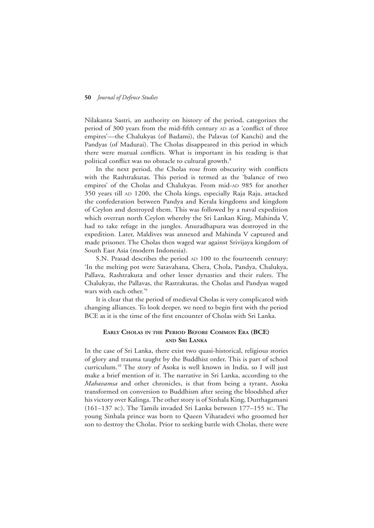Nilakanta Sastri, an authority on history of the period, categorizes the period of 300 years from the mid-fifth century AD as a 'conflict of three empires'—the Chalukyas (of Badami), the Palavas (of Kanchi) and the Pandyas (of Madurai). The Cholas disappeared in this period in which there were mutual conflicts. What is important in his reading is that political conflict was no obstacle to cultural growth.<sup>8</sup>

In the next period, the Cholas rose from obscurity with conflicts with the Rashtrakutas. This period is termed as the 'balance of two empires' of the Cholas and Chalukyas. From mid-AD 985 for another 350 years till AD 1200, the Chola kings, especially Raja Raja, attacked the confederation between Pandya and Kerala kingdoms and kingdom of Ceylon and destroyed them. This was followed by a naval expedition which overran north Ceylon whereby the Sri Lankan King, Mahinda V, had to take refuge in the jungles. Anuradhapura was destroyed in the expedition. Later, Maldives was annexed and Mahinda V captured and made prisoner. The Cholas then waged war against Srivijaya kingdom of South East Asia (modern Indonesia).

S.N. Prasad describes the period AD 100 to the fourteenth century: 'In the melting pot were Satavahana, Chera, Chola, Pandya, Chalukya, Pallava, Rashtrakuta and other lesser dynasties and their rulers. The Chalukyas, the Pallavas, the Rastrakutas, the Cholas and Pandyas waged wars with each other.'9

It is clear that the period of medieval Cholas is very complicated with changing alliances. To look deeper, we need to begin first with the period BCE as it is the time of the first encounter of Cholas with Sri Lanka.

# **Early Cholas in the Period Before Common Era (BCE) and Sri Lanka**

In the case of Sri Lanka, there exist two quasi-historical, religious stories of glory and trauma taught by the Buddhist order. This is part of school curriculum.10 The story of Asoka is well known in India, so I will just make a brief mention of it. The narrative in Sri Lanka, according to the *Mahavamsa* and other chronicles, is that from being a tyrant, Asoka transformed on conversion to Buddhism after seeing the bloodshed after his victory over Kalinga. The other story is of Sinhala King, Dutthagamani (161–137 bc). The Tamils invaded Sri Lanka between 177–155 bc. The young Sinhala prince was born to Queen Viharadevi who groomed her son to destroy the Cholas. Prior to seeking battle with Cholas, there were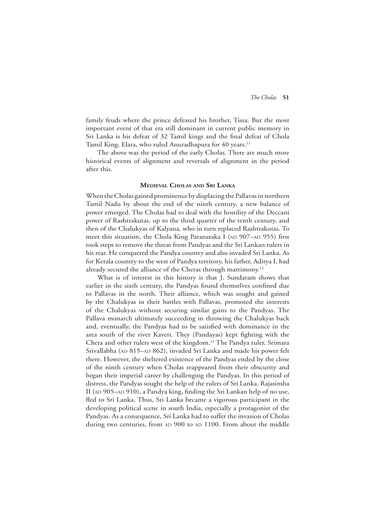family feuds where the prince defeated his brother, Tissa. But the most important event of that era still dominant in current public memory in Sri Lanka is his defeat of 32 Tamil kings and the final defeat of Chola Tamil King, Elara, who ruled Anuradhapura for 40 years.<sup>11</sup>

The above was the period of the early Cholas. There are much more historical events of alignment and reversals of alignment in the period after this.

## **Medieval Cholas and Sri Lanka**

When the Cholas gained prominence by displacing the Pallavas in northern Tamil Nadu by about the end of the ninth century, a new balance of power emerged. The Cholas had to deal with the hostility of the Deccani power of Rashtrakutas, up to the third quarter of the tenth century, and then of the Chalukyas of Kalyana, who in turn replaced Rashtrakutas. To meet this situation, the Chola King Paranataka I (AD 907-AD 955) first took steps to remove the threat from Pandyas and the Sri Lankan rulers in his rear. He conquered the Pandya country and also invaded Sri Lanka. As for Kerala country to the west of Pandya territory, his father, Aditya I, had already secured the alliance of the Cheras through matrimony.<sup>12</sup>

What is of interest in this history is that J. Sundaram shows that earlier in the sixth century, the Pandyas found themselves confined due to Pallavas in the north. Their alliance, which was sought and gained by the Chalukyas in their battles with Pallavas, promoted the interests of the Chalukyas without securing similar gains to the Pandyas. The Pallava monarch ultimately succeeding in throwing the Chalukyas back and, eventually, the Pandyas had to be satisfied with dominance in the area south of the river Kaveri. They (Pandayas) kept fighting with the Chera and other rulers west of the kingdom.13 The Pandya ruler, Srimara Srivallabha (AD 815–AD 862), invaded Sri Lanka and made his power felt there. However, the sheltered existence of the Pandyas ended by the close of the ninth century when Cholas reappeared from their obscurity and began their imperial career by challenging the Pandyas. In this period of distress, the Pandyas sought the help of the rulers of Sri Lanka. Rajasimha II (AD 905–AD 910), a Pandya king, finding the Sri Lankan help of no use, fled to Sri Lanka. Thus, Sri Lanka became a vigorous participant in the developing political scene in south India, especially a protagonist of the Pandyas. As a consequence, Sri Lanka had to suffer the invasion of Cholas during two centuries, from AD 900 to AD 1100. From about the middle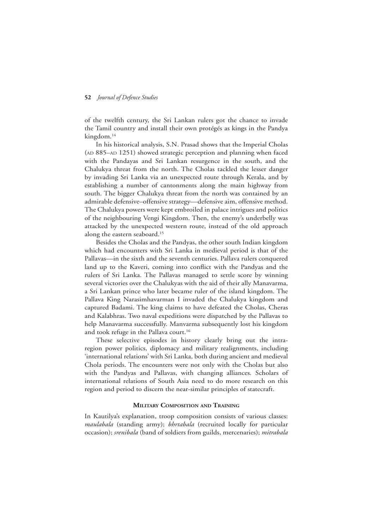of the twelfth century, the Sri Lankan rulers got the chance to invade the Tamil country and install their own protégés as kings in the Pandya kingdom.<sup>14</sup>

In his historical analysis, S.N. Prasad shows that the Imperial Cholas (AD 885–AD 1251) showed strategic perception and planning when faced with the Pandayas and Sri Lankan resurgence in the south, and the Chalukya threat from the north. The Cholas tackled the lesser danger by invading Sri Lanka via an unexpected route through Kerala, and by establishing a number of cantonments along the main highway from south. The bigger Chalukya threat from the north was contained by an admirable defensive–offensive strategy—defensive aim, offensive method. The Chalukya powers were kept embroiled in palace intrigues and politics of the neighbouring Vengi Kingdom. Then, the enemy's underbelly was attacked by the unexpected western route, instead of the old approach along the eastern seaboard.15

Besides the Cholas and the Pandyas, the other south Indian kingdom which had encounters with Sri Lanka in medieval period is that of the Pallavas—in the sixth and the seventh centuries. Pallava rulers conquered land up to the Kaveri, coming into conflict with the Pandyas and the rulers of Sri Lanka. The Pallavas managed to settle score by winning several victories over the Chalukyas with the aid of their ally Manavarma, a Sri Lankan prince who later became ruler of the island kingdom. The Pallava King Narasimhavarman I invaded the Chalukya kingdom and captured Badami. The king claims to have defeated the Cholas, Cheras and Kalabhras. Two naval expeditions were dispatched by the Pallavas to help Manavarma successfully. Manvarma subsequently lost his kingdom and took refuge in the Pallava court.<sup>16</sup>

These selective episodes in history clearly bring out the intraregion power politics, diplomacy and military realignments, including 'international relations' with Sri Lanka, both during ancient and medieval Chola periods. The encounters were not only with the Cholas but also with the Pandyas and Pallavas, with changing alliances. Scholars of international relations of South Asia need to do more research on this region and period to discern the near-similar principles of statecraft.

#### **Military Composition and Training**

In Kautilya's explanation, troop composition consists of various classes: *maulabala* (standing army); *bhrtabala* (recruited locally for particular occasion); *srenibala* (band of soldiers from guilds, mercenaries); *mitrabala*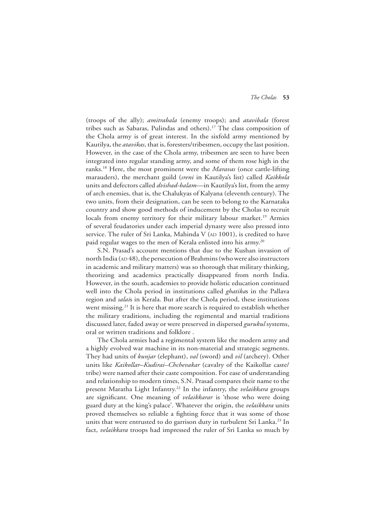(troops of the ally); *amitrabala* (enemy troops); and *atavibala* (forest tribes such as Sabaras, Pulindas and others).17 The class composition of the Chola army is of great interest. In the sixfold army mentioned by Kautilya, the *atavikas*, that is, foresters/tribesmen, occupy the last position. However, in the case of the Chola army, tribesmen are seen to have been integrated into regular standing army, and some of them rose high in the ranks.18 Here, the most prominent were the *Maravas* (once cattle-lifting marauders), the merchant guild (*sreni* in Kautilya's list) called *Kaikkola* units and defectors called *dvishad-balam*—in Kautilya's list, from the army of arch enemies, that is, the Chalukyas of Kalyana (eleventh century). The two units, from their designation, can be seen to belong to the Karnataka country and show good methods of inducement by the Cholas to recruit locals from enemy territory for their military labour market.<sup>19</sup> Armies of several feudatories under each imperial dynasty were also pressed into service. The ruler of Sri Lanka, Mahinda V ( $AD 1001$ ), is credited to have paid regular wages to the men of Kerala enlisted into his army.<sup>20</sup>

S.N. Prasad's account mentions that due to the Kushan invasion of north India ( $AD 48$ ), the persecution of Brahmins (who were also instructors in academic and military matters) was so thorough that military thinking, theorizing and academics practically disappeared from north India. However, in the south, academies to provide holistic education continued well into the Chola period in institutions called *ghatika*s in the Pallava region and *salai*s in Kerala. But after the Chola period, these institutions went missing.<sup>21</sup> It is here that more search is required to establish whether the military traditions, including the regimental and martial traditions discussed later, faded away or were preserved in dispersed *gurukul* systems, oral or written traditions and folklore .

The Chola armies had a regimental system like the modern army and a highly evolved war machine in its non-material and strategic segments. They had units of *kunjar* (elephant), *val* (sword) and *vil* (archery). Other units like *Kaikollar–Kudirai–Chchevakar* (cavalry of the Kaikollar caste/ tribe) were named after their caste composition. For ease of understanding and relationship to modern times, S.N. Prasad compares their name to the present Maratha Light Infantry.22 In the infantry, the *velaikkara* groups are significant. One meaning of *velaikkarar* is 'those who were doing guard duty at the king's palace'. Whatever the origin, the *velaikkara* units proved themselves so reliable a fighting force that it was some of those units that were entrusted to do garrison duty in turbulent Sri Lanka.<sup>23</sup> In fact, *velaikkara* troops had impressed the ruler of Sri Lanka so much by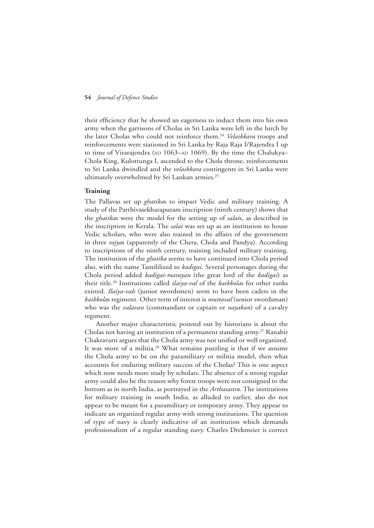their efficiency that he showed an eagerness to induct them into his own army when the garrisons of Cholas in Sri Lanka were left in the lurch by the later Cholas who could not reinforce them.24 *Velaikkara* troops and reinforcements were stationed in Sri Lanka by Raja Raja I/Rajendra I up to time of Virarajendra (AD  $1063$ –AD  $1069$ ). By the time the Chalukya– Chola King, Kulottunga I, ascended to the Chola throne, reinforcements to Sri Lanka dwindled and the *velaikkara* contingents in Sri Lanka were ultimately overwhelmed by Sri Lankan armies.25

#### **Training**

The Pallavas set up *ghatika*s to impart Vedic and military training. A study of the Parthivasekharapuram inscription (ninth century) shows that the *ghatika*s were the model for the setting up of *salai*s, as described in the inscription in Kerala. The *salai* was set up as an institution to house Vedic scholars, who were also trained in the affairs of the government in three *rajya*s (apparently of the Chera, Chola and Pandya). According to inscriptions of the ninth century, training included military training. The institution of the *ghatika* seems to have continued into Chola period also, with the name Tamililized to *kadigai*. Several personages during the Chola period added *kadigai-marayan* (the great lord of the *kadigai*) as their title.26 Institutions called *ilaiya-val* of the *kaikkola*s for other ranks existed. *Ilaiya-vals* (junior swordsmen) seem to have been cadets in the *kaikkola*s regiment. Other term of interest is *muttaval* (senior swordsman) who was the *valavan* (commandant or captain or *nayakan*) of a cavalry regiment.

Another major characteristic pointed out by historians is about the Cholas not having an institution of a permanent standing army.<sup>27</sup> Ranabir Chakravarti argues that the Chola army was not unified or well organized. It was more of a militia.<sup>28</sup> What remains puzzling is that if we assume the Chola army to be on the paramilitary or militia model, then what accounts for enduring military success of the Cholas? This is one aspect which now needs more study by scholars. The absence of a strong regular army could also be the reason why forest troops were not consigned to the bottom as in north India, as portrayed in the *Arthasastra*. The institutions for military training in south India, as alluded to earlier, also do not appear to be meant for a paramilitary or temporary army. They appear to indicate an organized regular army with strong institutions. The question of type of navy is clearly indicative of an institution which demands professionalism of a regular standing navy. Charles Drekmeier is correct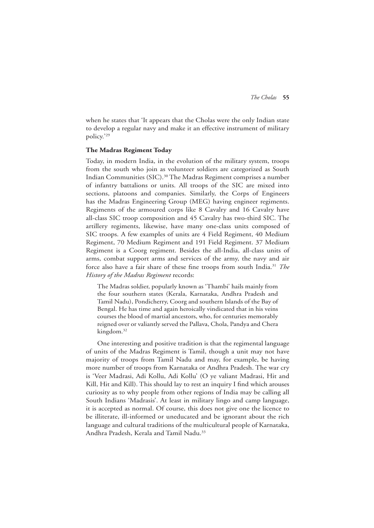when he states that 'It appears that the Cholas were the only Indian state to develop a regular navy and make it an effective instrument of military policy.'29

#### **The Madras Regiment Today**

Today, in modern India, in the evolution of the military system, troops from the south who join as volunteer soldiers are categorized as South Indian Communities (SIC).30 The Madras Regiment comprises a number of infantry battalions or units. All troops of the SIC are mixed into sections, platoons and companies. Similarly, the Corps of Engineers has the Madras Engineering Group (MEG) having engineer regiments. Regiments of the armoured corps like 8 Cavalry and 16 Cavalry have all-class SIC troop composition and 45 Cavalry has two-third SIC. The artillery regiments, likewise, have many one-class units composed of SIC troops. A few examples of units are 4 Field Regiment, 40 Medium Regiment, 70 Medium Regiment and 191 Field Regiment. 37 Medium Regiment is a Coorg regiment. Besides the all-India, all-class units of arms, combat support arms and services of the army, the navy and air force also have a fair share of these fine troops from south India.31 *The History of the Madras Regiment* records:

The Madras soldier, popularly known as 'Thambi' hails mainly from the four southern states (Kerala, Karnataka, Andhra Pradesh and Tamil Nadu), Pondicherry, Coorg and southern Islands of the Bay of Bengal. He has time and again heroically vindicated that in his veins courses the blood of martial ancestors, who, for centuries memorably reigned over or valiantly served the Pallava, Chola, Pandya and Chera kingdom.<sup>32</sup>

One interesting and positive tradition is that the regimental language of units of the Madras Regiment is Tamil, though a unit may not have majority of troops from Tamil Nadu and may, for example, be having more number of troops from Karnataka or Andhra Pradesh. The war cry is 'Veer Madrasi, Adi Kollu, Adi Kollu' (O ye valiant Madrasi, Hit and Kill, Hit and Kill). This should lay to rest an inquiry I find which arouses curiosity as to why people from other regions of India may be calling all South Indians 'Madrasis'. At least in military lingo and camp language, it is accepted as normal. Of course, this does not give one the licence to be illiterate, ill-informed or uneducated and be ignorant about the rich language and cultural traditions of the multicultural people of Karnataka, Andhra Pradesh, Kerala and Tamil Nadu.<sup>33</sup>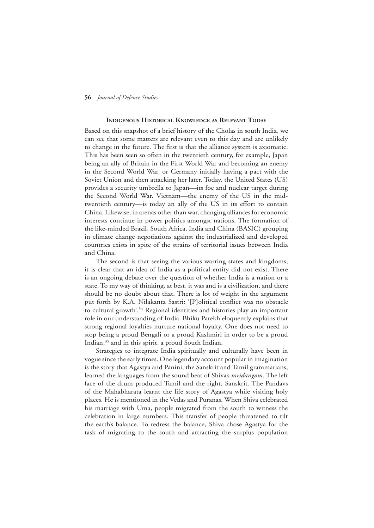#### **Indigenous Historical Knowledge as Relevant Today**

Based on this snapshot of a brief history of the Cholas in south India, we can see that some matters are relevant even to this day and are unlikely to change in the future. The first is that the alliance system is axiomatic. This has been seen so often in the twentieth century, for example, Japan being an ally of Britain in the First World War and becoming an enemy in the Second World War, or Germany initially having a pact with the Soviet Union and then attacking her later. Today, the United States (US) provides a security umbrella to Japan—its foe and nuclear target during the Second World War. Vietnam—the enemy of the US in the midtwentieth century—is today an ally of the US in its effort to contain China. Likewise, in arenas other than war, changing alliances for economic interests continue in power politics amongst nations. The formation of the like-minded Brazil, South Africa, India and China (BASIC) grouping in climate change negotiations against the industrialized and developed countries exists in spite of the strains of territorial issues between India and China.

The second is that seeing the various warring states and kingdoms, it is clear that an idea of India as a political entity did not exist. There is an ongoing debate over the question of whether India is a nation or a state. To my way of thinking, at best, it was and is a civilization, and there should be no doubt about that. There is lot of weight in the argument put forth by K.A. Nilakanta Sastri: '[P]olitical conflict was no obstacle to cultural growth'.<sup>34</sup> Regional identities and histories play an important role in our understanding of India. Bhiku Parekh eloquently explains that strong regional loyalties nurture national loyalty. One does not need to stop being a proud Bengali or a proud Kashmiri in order to be a proud Indian,<sup>35</sup> and in this spirit, a proud South Indian.

Strategies to integrate India spiritually and culturally have been in vogue since the early times. One legendary account popular in imagination is the story that Agastya and Panini, the Sanskrit and Tamil grammarians, learned the languages from the sound beat of Shiva's *mridangam*. The left face of the drum produced Tamil and the right, Sanskrit. The Pandavs of the Mahabharata learnt the life story of Agastya while visiting holy places. He is mentioned in the Vedas and Puranas. When Shiva celebrated his marriage with Uma, people migrated from the south to witness the celebration in large numbers. This transfer of people threatened to tilt the earth's balance. To redress the balance, Shiva chose Agastya for the task of migrating to the south and attracting the surplus population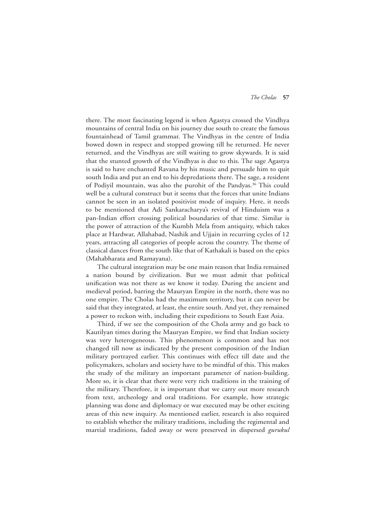there. The most fascinating legend is when Agastya crossed the Vindhya mountains of central India on his journey due south to create the famous fountainhead of Tamil grammar. The Vindhyas in the centre of India bowed down in respect and stopped growing till he returned. He never returned, and the Vindhyas are still waiting to grow skywards. It is said that the stunted growth of the Vindhyas is due to this. The sage Agastya is said to have enchanted Ravana by his music and persuade him to quit south India and put an end to his depredations there. The sage, a resident of Podiyil mountain, was also the purohit of the Pandyas.<sup>36</sup> This could well be a cultural construct but it seems that the forces that unite Indians cannot be seen in an isolated positivist mode of inquiry. Here, it needs to be mentioned that Adi Sankaracharya's revival of Hinduism was a pan-Indian effort crossing political boundaries of that time. Similar is the power of attraction of the Kumbh Mela from antiquity, which takes place at Hardwar, Allahabad, Nashik and Ujjain in recurring cycles of 12 years, attracting all categories of people across the country. The theme of classical dances from the south like that of Kathakali is based on the epics (Mahabharata and Ramayana).

The cultural integration may be one main reason that India remained a nation bound by civilization. But we must admit that political unification was not there as we know it today. During the ancient and medieval period, barring the Mauryan Empire in the north, there was no one empire. The Cholas had the maximum territory, but it can never be said that they integrated, at least, the entire south. And yet, they remained a power to reckon with, including their expeditions to South East Asia.

Third, if we see the composition of the Chola army and go back to Kautilyan times during the Mauryan Empire, we find that Indian society was very heterogeneous. This phenomenon is common and has not changed till now as indicated by the present composition of the Indian military portrayed earlier. This continues with effect till date and the policymakers, scholars and society have to be mindful of this. This makes the study of the military an important parameter of nation-building. More so, it is clear that there were very rich traditions in the training of the military. Therefore, it is important that we carry out more research from text, archeology and oral traditions. For example, how strategic planning was done and diplomacy or war executed may be other exciting areas of this new inquiry. As mentioned earlier, research is also required to establish whether the military traditions, including the regimental and martial traditions, faded away or were preserved in dispersed *gurukul*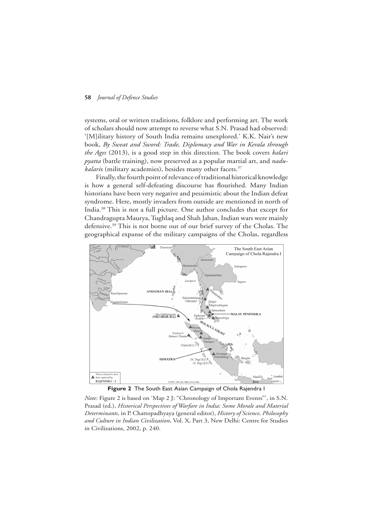systems, oral or written traditions, folklore and performing art. The work of scholars should now attempt to reverse what S.N. Prasad had observed: '[M]ilitary history of South India remains unexplored.' K.K. Nair's new book, *By Sweat and Sword: Trade, Diplomacy and War in Kerala through the Ages* (2013), is a good step in this direction. The book covers *kalari pyatta* (battle training), now preserved as a popular martial art, and *nadukalaris* (military academies), besides many other facets.<sup>37</sup>

Finally, the fourth point of relevance of traditional historical knowledge is how a general self-defeating discourse has flourished. Many Indian historians have been very negative and pessimistic about the Indian defeat syndrome. Here, mostly invaders from outside are mentioned in north of India.38 This is not a full picture. One author concludes that except for Chandragupta Maurya, Tughlaq and Shah Jahan, Indian wars were mainly defensive.39 This is not borne out of our brief survey of the Cholas. The geographical expanse of the military campaigns of the Cholas, regardless



**Figure 2** The South East Asian Campaign of Chola Rajendra I

*Note:* Figure 2 is based on 'Map 2 J: "Chronology of Important Events"', in S.N. Prasad (ed.), *Historical Perspectives of Warfare in India: Some Morale and Material Determinants*, in P. Chattopadhyaya (general editor), *History of Science, Philosophy and Culture in Indian Civilization*, Vol. X, Part 3, New Delhi: Centre for Studies in Civilizations, 2002, p. 240.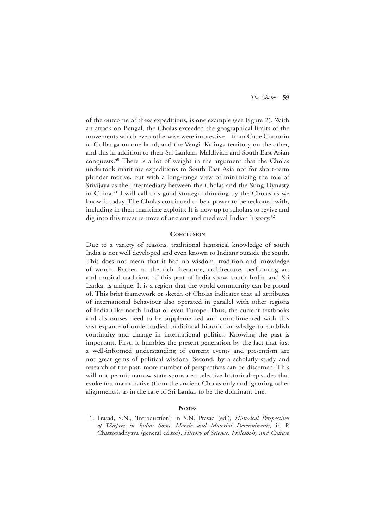of the outcome of these expeditions, is one example (see Figure 2). With an attack on Bengal, the Cholas exceeded the geographical limits of the movements which even otherwise were impressive—from Cape Comorin to Gulbarga on one hand, and the Vengi–Kalinga territory on the other, and this in addition to their Sri Lankan, Maldivian and South East Asian conquests.40 There is a lot of weight in the argument that the Cholas undertook maritime expeditions to South East Asia not for short-term plunder motive, but with a long-range view of minimizing the role of Srivijaya as the intermediary between the Cholas and the Sung Dynasty in China.41 I will call this good strategic thinking by the Cholas as we know it today. The Cholas continued to be a power to be reckoned with, including in their maritime exploits. It is now up to scholars to revive and dig into this treasure trove of ancient and medieval Indian history.<sup>42</sup>

#### **Conclusion**

Due to a variety of reasons, traditional historical knowledge of south India is not well developed and even known to Indians outside the south. This does not mean that it had no wisdom, tradition and knowledge of worth. Rather, as the rich literature, architecture, performing art and musical traditions of this part of India show, south India, and Sri Lanka, is unique. It is a region that the world community can be proud of. This brief framework or sketch of Cholas indicates that all attributes of international behaviour also operated in parallel with other regions of India (like north India) or even Europe. Thus, the current textbooks and discourses need to be supplemented and complimented with this vast expanse of understudied traditional historic knowledge to establish continuity and change in international politics. Knowing the past is important. First, it humbles the present generation by the fact that just a well-informed understanding of current events and presentism are not great gems of political wisdom. Second, by a scholarly study and research of the past, more number of perspectives can be discerned. This will not permit narrow state-sponsored selective historical episodes that evoke trauma narrative (from the ancient Cholas only and ignoring other alignments), as in the case of Sri Lanka, to be the dominant one.

## **NOTES**

1. Prasad, S.N., 'Introduction', in S.N. Prasad (ed.), *Historical Perspectives of Warfare in India: Some Morale and Material Determinants*, in P. Chattopadhyaya (general editor), *History of Science, Philosophy and Culture*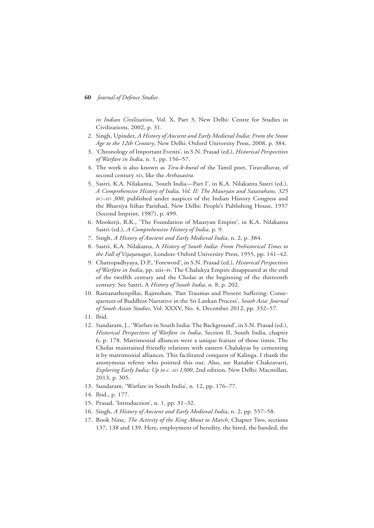*in Indian Civilization*, Vol. X, Part 3, New Delhi: Centre for Studies in Civilizations, 2002, p. 31.

- 2. Singh, Upinder, *A History of Ancient and Early Medieval India: From the Stone Age to the 12th Century*, New Delhi: Oxford University Press, 2008, p. 384.
- 3. 'Chronology of Important Events', in S.N. Prasad (ed.), *Historical Perspectives of Warfare in India*, n. 1, pp. 156–57.
- 4. The work is also known as *Tiru-k-kural* of the Tamil poet, Tiruvalluvar, of second century AD, like the *Arthasastra*.
- 5. Sastri, K.A. Nilakanta, 'South India—Part I', in K.A. Nilakanta Sastri (ed.), *A Comprehensive History of India, Vol. II: The Mauryan and Satavahans, 325 bc–ad 300*, published under auspices of the Indian History Congress and the Bhartiya Itihas Parishad, New Delhi: People's Publishing House, 1957 (Second Imprint, 1987), p. 499.
- 6. Mookerji, R.K., 'The Foundation of Mauryan Empire', in K.A. Nilakanta Sastri (ed.), *A Comprehensive History of India*, p. 9.
- 7. Singh, *A History of Ancient and Early Medieval India*, n. 2, p. 384.
- 8. Sastri, K.A. Nilakanta, A *History of South India*: *From Prehistorical Times to the Fall of Vijayanagar*, London: Oxford University Press, 1955, pp. 141–42.
- 9. Chattopadhyaya, D.P., 'Foreword', in S.N. Prasad (ed.), *Historical Perspectives of Warfare in India*, pp. xiii–iv. The Chalukya Empire disappeared at the end of the twelfth century and the Cholas at the beginning of the thirteenth century. See Sastri, A *History of South India*, n. 8, p. 202.
- 10. Ramanathenpillai, Rajmohan, 'Past Traumas and Present Suffering: Consequences of Buddhist Narrative in the Sri Lankan Process', *South Asia: Journal of South Asian Studies*, Vol. XXXV, No. 4, December 2012, pp. 332–57.
- 11. Ibid.
- 12. Sundaram, J., 'Warfare in South India: The Background', in S.N. Prasad (ed.), *Historical Perspectives of Warfare in India*, Section II, South India, chapter 6, p. 178. Matrimonial alliances were a unique feature of those times. The Cholas maintained friendly relations with eastern Chalukyas by cementing it by matrimonial alliances. This facilitated conquest of Kalinga. I thank the anonymous referee who pointed this out. Also, see Ranabir Chakravarti, *Exploring Early India: Up to c. AD 1300*, 2nd edition, New Delhi: Macmillan, 2013, p. 305.
- 13. Sundaram, 'Warfare in South India', n. 12, pp. 176–77.
- 14. Ibid., p. 177.
- 15. Prasad, 'Introduction', n. 1, pp. 31–32.
- 16. Singh, *A History of Ancient and Early Medieval India*, n. 2, pp. 557–58.
- 17. Book Nine, *The Activity of the King About to March*, Chapter Two, sections 137, 138 and 139. Here, employment of heredity, the hired, the banded, the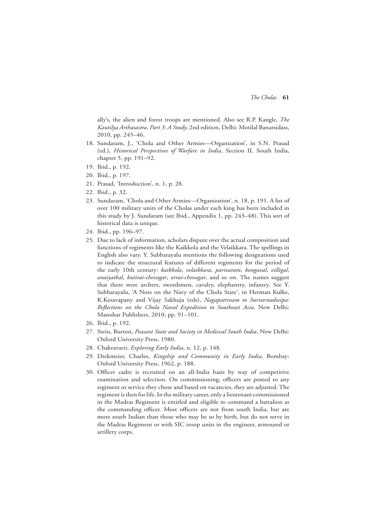ally's, the alien and forest troops are mentioned. Also see R.P. Kangle, *The Kautilya Arthasastra*, *Part 3: A Study*, 2nd edition, Delhi: Motilal Banarsidass, 2010, pp. 245–46.

- 18. Sundaram, J., 'Chola and Other Armies—Organization', in S.N. Prasad (ed.), *Historical Perspectives of Warfare in India*, Section II, South India, chapter 5, pp. 191–92.
- 19. Ibid., p. 192.
- 20. Ibid., p. 197.
- 21. Prasad, 'Introduction', n. 1, p. 28.
- 22. Ibid., p. 32.
- 23. Sundaram, 'Chola and Other Armies—Organization', n. 18, p. 191. A list of over 100 military units of the Cholas under each king has been included in this study by J. Sundaram (see Ibid., Appendix 1, pp. 243–48). This sort of historical data is unique.
- 24. Ibid., pp. 196–97.
- 25. Due to lack of information, scholars dispute over the actual composition and functions of regiments like the Kaikkola and the Velaikkara. The spellings in English also vary. Y. Subbarayalu mentions the following designations used to indicate the structural features of different regiments for the period of the early 10th century: *kaikkola*, *velaikkara*, *parivaram*, *kongaval*, *villigal*, *anaiyatkal*, *kutirai-chevagar*, *orrai-chevagar*, and so on. The names suggest that there were archers, swordsmen, cavalry, elephantry, infantry. See Y. Subbarayalu, 'A Note on the Navy of the Chola State', in Herman Kulke, K.Kesavapany and Vijay Sakhuja (eds), *Nagapattinam to Survarnadwipa: Reflections on the Chola Naval Expedition to Southeast Asia*, New Delhi: Manohar Publishers, 2010, pp. 91–101.
- 26. Ibid., p. 192.
- 27. Stein, Burton, *Peasant State and Society in Medieval South India*, New Delhi: Oxford University Press, 1980.
- 28. Chakravarti, *Exploring Early India*, n. 12, p. 148.
- 29. Drekmeier, Charles, *Kingship and Community in Early India*, Bombay: Oxford University Press, 1962, p. 188.
- 30. Officer cadre is recruited on an all-India basis by way of competitive examination and selection. On commissioning, officers are posted to any regiment or service they chose and based on vacancies, they are adjusted. The regiment is then for life. In the military career, only a lieutenant commissioned in the Madras Regiment is entitled and eligible to command a battalion as the commanding officer. Most officers are not from south India, but are more south Indian than those who may be so by birth, but do not serve in the Madras Regiment or with SIC troop units in the engineer, armoured or artillery corps.